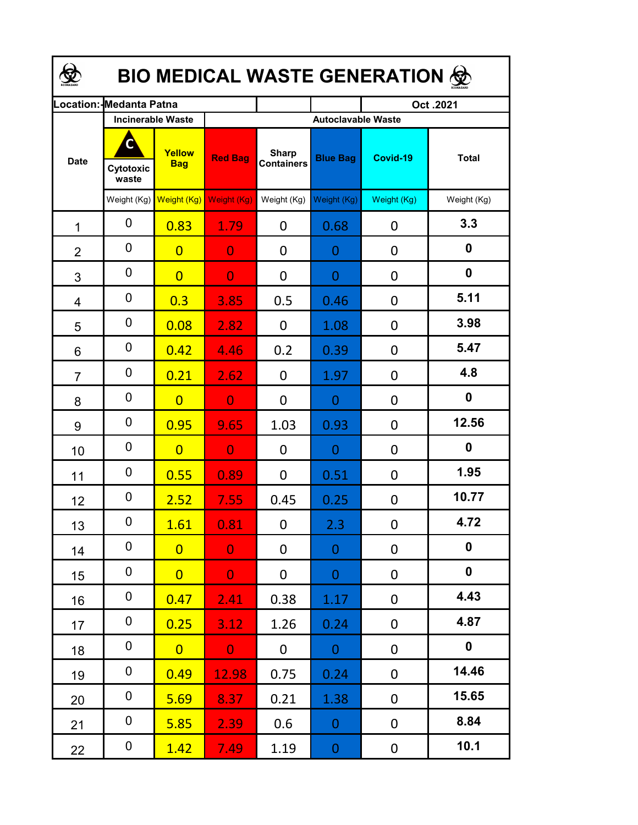| <b>BIO MEDICAL WASTE GENERATION ©</b> |                         |                                                  |                |                                   |                                              |             |              |  |  |  |
|---------------------------------------|-------------------------|--------------------------------------------------|----------------|-----------------------------------|----------------------------------------------|-------------|--------------|--|--|--|
|                                       | .ocation: Medanta Patna |                                                  |                |                                   |                                              | Oct.2021    |              |  |  |  |
| <b>Date</b>                           | Cytotoxic<br>waste      | <b>Incinerable Waste</b><br>Yellow<br><b>Bag</b> | <b>Red Bag</b> | <b>Sharp</b><br><b>Containers</b> | <b>Autoclavable Waste</b><br><b>Blue Bag</b> | Covid-19    | <b>Total</b> |  |  |  |
|                                       | Weight (Kg)             | Weight (Kg) Weight (Kg)                          |                | Weight (Kg)                       | Weight (Kg)                                  | Weight (Kg) | Weight (Kg)  |  |  |  |
| 1                                     | 0                       | 0.83                                             | 1.79           | $\mathbf{0}$                      | 0.68                                         | 0           | 3.3          |  |  |  |
| $\overline{2}$                        | 0                       | $\overline{0}$                                   | $\overline{0}$ | $\mathbf{0}$                      | 0                                            | 0           | 0            |  |  |  |
| 3                                     | 0                       | $\overline{0}$                                   | $\overline{0}$ | 0                                 | 0                                            | 0           | 0            |  |  |  |
| 4                                     | $\mathbf 0$             | 0.3                                              | 3.85           | 0.5                               | 0.46                                         | 0           | 5.11         |  |  |  |
| 5                                     | $\mathbf 0$             | 0.08                                             | 2.82           | 0                                 | 1.08                                         | 0           | 3.98         |  |  |  |
| 6                                     | $\mathbf 0$             | 0.42                                             | 4.46           | 0.2                               | 0.39                                         | 0           | 5.47         |  |  |  |
| $\overline{7}$                        | 0                       | 0.21                                             | 2.62           | $\overline{0}$                    | 1.97                                         | 0           | 4.8          |  |  |  |
| 8                                     | $\mathbf 0$             | $\overline{0}$                                   | $\overline{0}$ | 0                                 | 0                                            | 0           | 0            |  |  |  |
| 9                                     | $\mathbf 0$             | 0.95                                             | 9.65           | 1.03                              | 0.93                                         | 0           | 12.56        |  |  |  |
| 10                                    | $\mathbf 0$             | $\overline{0}$                                   | $\overline{0}$ | 0                                 | 0                                            | 0           | 0            |  |  |  |
| 11                                    | 0                       | 0.55                                             | 0.89           | 0                                 | 0.51                                         | 0           | 1.95         |  |  |  |
| 12                                    | 0                       | 2.52                                             | 7.55           | 0.45                              | 0.25                                         | 0           | 10.77        |  |  |  |
| 13                                    | 0                       | <b>1.61</b>                                      | 0.81           | $\mathbf 0$                       | 2.3                                          | $\mathbf 0$ | 4.72         |  |  |  |
| 14                                    | 0                       | $\overline{0}$                                   | $\overline{0}$ | 0                                 | $\overline{0}$                               | 0           | $\mathbf 0$  |  |  |  |
| 15                                    | 0                       | $\overline{0}$                                   | $\overline{0}$ | 0                                 | $\overline{0}$                               | 0           | $\mathbf 0$  |  |  |  |
| 16                                    | 0                       | 0.47                                             | 2.41           | 0.38                              | 1.17                                         | 0           | 4.43         |  |  |  |
| 17                                    | 0                       | 0.25                                             | 3.12           | 1.26                              | 0.24                                         | 0           | 4.87         |  |  |  |
| 18                                    | 0                       | $\overline{0}$                                   | $\overline{0}$ | $\mathbf 0$                       | $\overline{O}$                               | 0           | $\mathbf 0$  |  |  |  |
| 19                                    | $\mathbf 0$             | 0.49                                             | 12.98          | 0.75                              | 0.24                                         | 0           | 14.46        |  |  |  |
| 20                                    | $\mathbf 0$             | 5.69                                             | 8.37           | 0.21                              | 1.38                                         | $\mathbf 0$ | 15.65        |  |  |  |
| 21                                    | 0                       | 5.85                                             | 2.39           | 0.6                               | $\overline{O}$                               | 0           | 8.84         |  |  |  |
| 22                                    | 0                       | 1.42                                             | 7.49           | 1.19                              | $\boldsymbol{0}$                             | 0           | 10.1         |  |  |  |